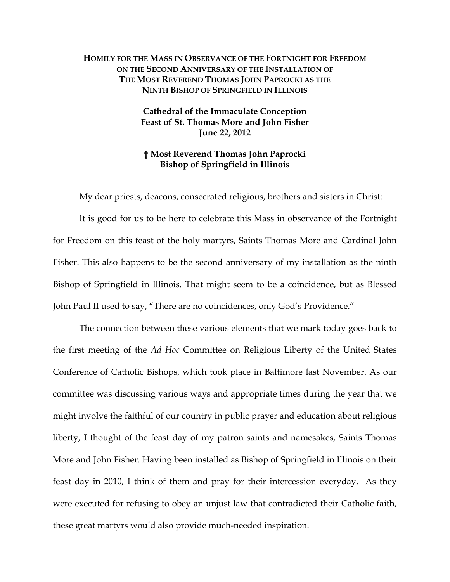## **HOMILY FOR THE MASS IN OBSERVANCE OF THE FORTNIGHT FOR FREEDOM ON THE SECOND ANNIVERSARY OF THE INSTALLATION OF THE MOST REVEREND THOMAS JOHN PAPROCKI AS THE NINTH BISHOP OF SPRINGFIELD IN ILLINOIS**

**Cathedral of the Immaculate Conception Feast of St. Thomas More and John Fisher June 22, 2012** 

## **† Most Reverend Thomas John Paprocki Bishop of Springfield in Illinois**

My dear priests, deacons, consecrated religious, brothers and sisters in Christ:

It is good for us to be here to celebrate this Mass in observance of the Fortnight for Freedom on this feast of the holy martyrs, Saints Thomas More and Cardinal John Fisher. This also happens to be the second anniversary of my installation as the ninth Bishop of Springfield in Illinois. That might seem to be a coincidence, but as Blessed John Paul II used to say, "There are no coincidences, only God's Providence."

The connection between these various elements that we mark today goes back to the first meeting of the *Ad Hoc* Committee on Religious Liberty of the United States Conference of Catholic Bishops, which took place in Baltimore last November. As our committee was discussing various ways and appropriate times during the year that we might involve the faithful of our country in public prayer and education about religious liberty, I thought of the feast day of my patron saints and namesakes, Saints Thomas More and John Fisher. Having been installed as Bishop of Springfield in Illinois on their feast day in 2010, I think of them and pray for their intercession everyday. As they were executed for refusing to obey an unjust law that contradicted their Catholic faith, these great martyrs would also provide much-needed inspiration.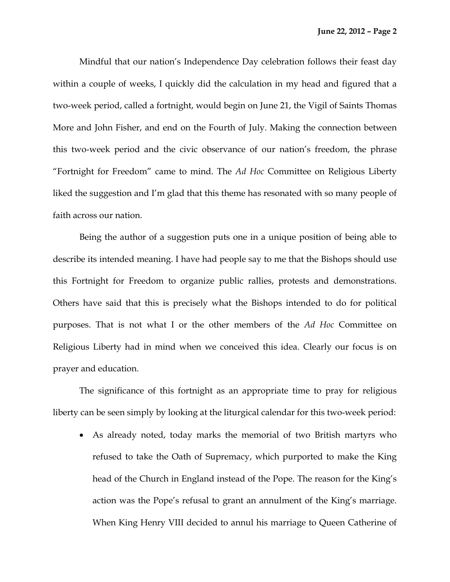Mindful that our nation's Independence Day celebration follows their feast day within a couple of weeks, I quickly did the calculation in my head and figured that a two-week period, called a fortnight, would begin on June 21, the Vigil of Saints Thomas More and John Fisher, and end on the Fourth of July. Making the connection between this two-week period and the civic observance of our nation's freedom, the phrase "Fortnight for Freedom" came to mind. The *Ad Hoc* Committee on Religious Liberty liked the suggestion and I'm glad that this theme has resonated with so many people of faith across our nation.

Being the author of a suggestion puts one in a unique position of being able to describe its intended meaning. I have had people say to me that the Bishops should use this Fortnight for Freedom to organize public rallies, protests and demonstrations. Others have said that this is precisely what the Bishops intended to do for political purposes. That is not what I or the other members of the *Ad Hoc* Committee on Religious Liberty had in mind when we conceived this idea. Clearly our focus is on prayer and education.

The significance of this fortnight as an appropriate time to pray for religious liberty can be seen simply by looking at the liturgical calendar for this two-week period:

 As already noted, today marks the memorial of two British martyrs who refused to take the Oath of Supremacy, which purported to make the King head of the Church in England instead of the Pope. The reason for the King's action was the Pope's refusal to grant an annulment of the King's marriage. When King Henry VIII decided to annul his marriage to Queen Catherine of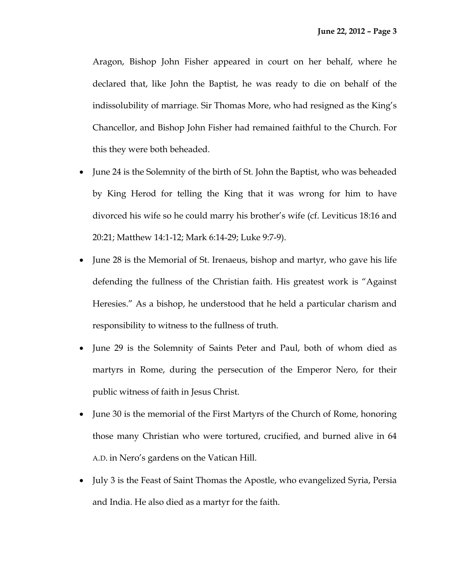Aragon, Bishop John Fisher appeared in court on her behalf, where he declared that, like John the Baptist, he was ready to die on behalf of the indissolubility of marriage. Sir Thomas More, who had resigned as the King's Chancellor, and Bishop John Fisher had remained faithful to the Church. For this they were both beheaded.

- June 24 is the Solemnity of the birth of St. John the Baptist, who was beheaded by King Herod for telling the King that it was wrong for him to have divorced his wife so he could marry his brother's wife (cf. Leviticus 18:16 and 20:21; Matthew 14:1-12; Mark 6:14-29; Luke 9:7-9).
- June 28 is the Memorial of St. Irenaeus, bishop and martyr, who gave his life defending the fullness of the Christian faith. His greatest work is "Against Heresies." As a bishop, he understood that he held a particular charism and responsibility to witness to the fullness of truth.
- June 29 is the Solemnity of Saints Peter and Paul, both of whom died as martyrs in Rome, during the persecution of the Emperor Nero, for their public witness of faith in Jesus Christ.
- June 30 is the memorial of the First Martyrs of the Church of Rome, honoring those many Christian who were tortured, crucified, and burned alive in 64 A.D. in Nero's gardens on the Vatican Hill.
- July 3 is the Feast of Saint Thomas the Apostle, who evangelized Syria, Persia and India. He also died as a martyr for the faith.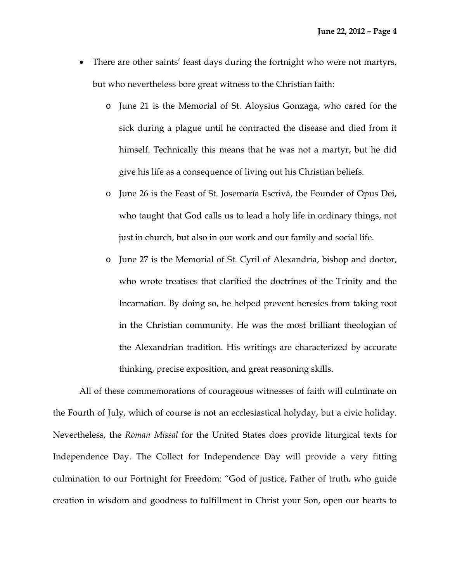- There are other saints' feast days during the fortnight who were not martyrs, but who nevertheless bore great witness to the Christian faith:
	- o June 21 is the Memorial of St. Aloysius Gonzaga, who cared for the sick during a plague until he contracted the disease and died from it himself. Technically this means that he was not a martyr, but he did give his life as a consequence of living out his Christian beliefs.
	- o June 26 is the Feast of St. Josemaría Escrivá, the Founder of Opus Dei, who taught that God calls us to lead a holy life in ordinary things, not just in church, but also in our work and our family and social life.
	- o June 27 is the Memorial of St. Cyril of Alexandria, bishop and doctor, who wrote treatises that clarified the doctrines of the Trinity and the Incarnation. By doing so, he helped prevent heresies from taking root in the Christian community. He was the most brilliant theologian of the Alexandrian tradition. His writings are characterized by accurate thinking, precise exposition, and great reasoning skills.

 All of these commemorations of courageous witnesses of faith will culminate on the Fourth of July, which of course is not an ecclesiastical holyday, but a civic holiday. Nevertheless, the *Roman Missal* for the United States does provide liturgical texts for Independence Day. The Collect for Independence Day will provide a very fitting culmination to our Fortnight for Freedom: "God of justice, Father of truth, who guide creation in wisdom and goodness to fulfillment in Christ your Son, open our hearts to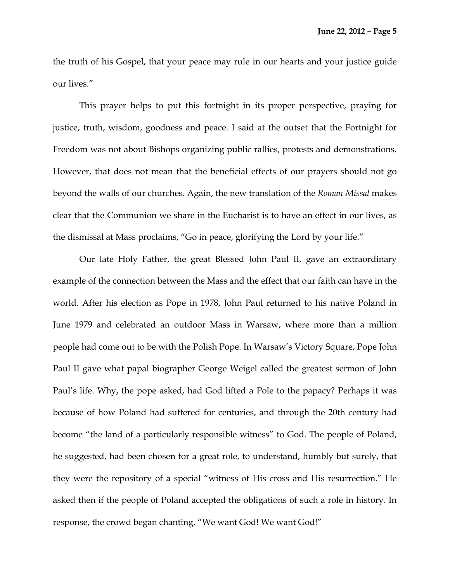the truth of his Gospel, that your peace may rule in our hearts and your justice guide our lives."

 This prayer helps to put this fortnight in its proper perspective, praying for justice, truth, wisdom, goodness and peace. I said at the outset that the Fortnight for Freedom was not about Bishops organizing public rallies, protests and demonstrations. However, that does not mean that the beneficial effects of our prayers should not go beyond the walls of our churches. Again, the new translation of the *Roman Missal* makes clear that the Communion we share in the Eucharist is to have an effect in our lives, as the dismissal at Mass proclaims, "Go in peace, glorifying the Lord by your life."

 Our late Holy Father, the great Blessed John Paul II, gave an extraordinary example of the connection between the Mass and the effect that our faith can have in the world. After his election as Pope in 1978, John Paul returned to his native Poland in June 1979 and celebrated an outdoor Mass in Warsaw, where more than a million people had come out to be with the Polish Pope. In Warsaw's Victory Square, Pope John Paul II gave what papal biographer George Weigel called the greatest sermon of John Paul's life. Why, the pope asked, had God lifted a Pole to the papacy? Perhaps it was because of how Poland had suffered for centuries, and through the 20th century had become "the land of a particularly responsible witness" to God. The people of Poland, he suggested, had been chosen for a great role, to understand, humbly but surely, that they were the repository of a special "witness of His cross and His resurrection." He asked then if the people of Poland accepted the obligations of such a role in history. In response, the crowd began chanting, "We want God! We want God!"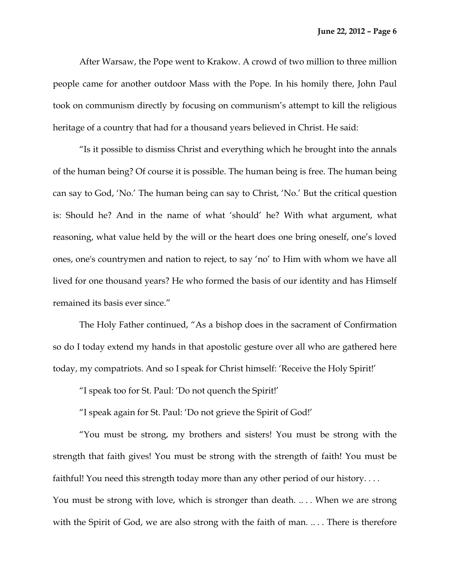After Warsaw, the Pope went to Krakow. A crowd of two million to three million people came for another outdoor Mass with the Pope. In his homily there, John Paul took on communism directly by focusing on communism's attempt to kill the religious heritage of a country that had for a thousand years believed in Christ. He said:

"Is it possible to dismiss Christ and everything which he brought into the annals of the human being? Of course it is possible. The human being is free. The human being can say to God, 'No.' The human being can say to Christ, 'No.' But the critical question is: Should he? And in the name of what 'should' he? With what argument, what reasoning, what value held by the will or the heart does one bring oneself, one's loved ones, one's countrymen and nation to reject, to say 'no' to Him with whom we have all lived for one thousand years? He who formed the basis of our identity and has Himself remained its basis ever since."

The Holy Father continued, "As a bishop does in the sacrament of Confirmation so do I today extend my hands in that apostolic gesture over all who are gathered here today, my compatriots. And so I speak for Christ himself: 'Receive the Holy Spirit!'

"I speak too for St. Paul: 'Do not quench the Spirit!'

"I speak again for St. Paul: 'Do not grieve the Spirit of God!'

"You must be strong, my brothers and sisters! You must be strong with the strength that faith gives! You must be strong with the strength of faith! You must be faithful! You need this strength today more than any other period of our history....

You must be strong with love, which is stronger than death. ... When we are strong with the Spirit of God, we are also strong with the faith of man. ... There is therefore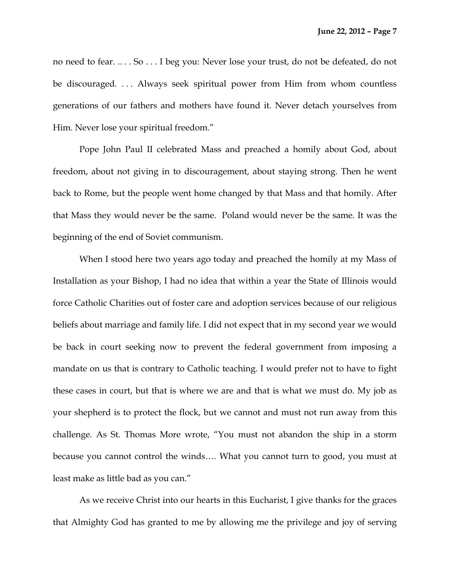no need to fear. .. . . So . . . I beg you: Never lose your trust, do not be defeated, do not be discouraged. . . . Always seek spiritual power from Him from whom countless generations of our fathers and mothers have found it. Never detach yourselves from Him. Never lose your spiritual freedom."

Pope John Paul II celebrated Mass and preached a homily about God, about freedom, about not giving in to discouragement, about staying strong. Then he went back to Rome, but the people went home changed by that Mass and that homily. After that Mass they would never be the same. Poland would never be the same. It was the beginning of the end of Soviet communism.

 When I stood here two years ago today and preached the homily at my Mass of Installation as your Bishop, I had no idea that within a year the State of Illinois would force Catholic Charities out of foster care and adoption services because of our religious beliefs about marriage and family life. I did not expect that in my second year we would be back in court seeking now to prevent the federal government from imposing a mandate on us that is contrary to Catholic teaching. I would prefer not to have to fight these cases in court, but that is where we are and that is what we must do. My job as your shepherd is to protect the flock, but we cannot and must not run away from this challenge. As St. Thomas More wrote, "You must not abandon the ship in a storm because you cannot control the winds…. What you cannot turn to good, you must at least make as little bad as you can."

 As we receive Christ into our hearts in this Eucharist, I give thanks for the graces that Almighty God has granted to me by allowing me the privilege and joy of serving